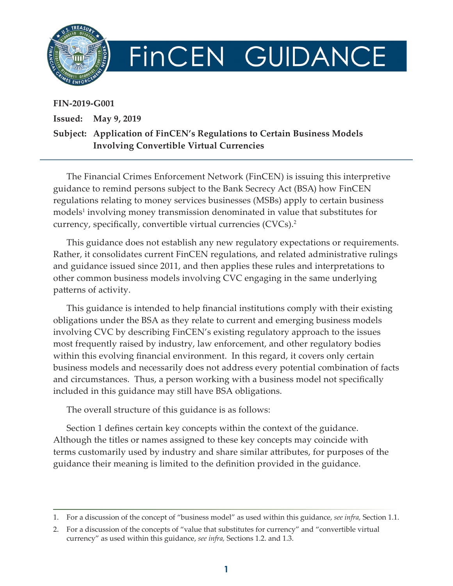

# FINCEN GUIDANCE

**FIN-2019-G001 Issued: May 9, 2019 Subject: Application of FinCEN's Regulations to Certain Business Models Involving Convertible Virtual Currencies**

The Financial Crimes Enforcement Network (FinCEN) is issuing this interpretive guidance to remind persons subject to the Bank Secrecy Act (BSA) how FinCEN regulations relating to money services businesses (MSBs) apply to certain business models<sup>1</sup> involving money transmission denominated in value that substitutes for currency, specifically, convertible virtual currencies (CVCs).<sup>2</sup>

This guidance does not establish any new regulatory expectations or requirements. Rather, it consolidates current FinCEN regulations, and related administrative rulings and guidance issued since 2011, and then applies these rules and interpretations to other common business models involving CVC engaging in the same underlying patterns of activity.

This guidance is intended to help financial institutions comply with their existing obligations under the BSA as they relate to current and emerging business models involving CVC by describing FinCEN's existing regulatory approach to the issues most frequently raised by industry, law enforcement, and other regulatory bodies within this evolving financial environment. In this regard, it covers only certain business models and necessarily does not address every potential combination of facts and circumstances. Thus, a person working with a business model not specifically included in this guidance may still have BSA obligations.

The overall structure of this guidance is as follows:

Section 1 defines certain key concepts within the context of the guidance. Although the titles or names assigned to these key concepts may coincide with terms customarily used by industry and share similar attributes, for purposes of the guidance their meaning is limited to the definition provided in the guidance.

<sup>1.</sup> For a discussion of the concept of "business model" as used within this guidance, *see infra,* Section 1.1.

<sup>2.</sup> For a discussion of the concepts of "value that substitutes for currency" and "convertible virtual currency" as used within this guidance, *see infra,* Sections 1.2. and 1.3.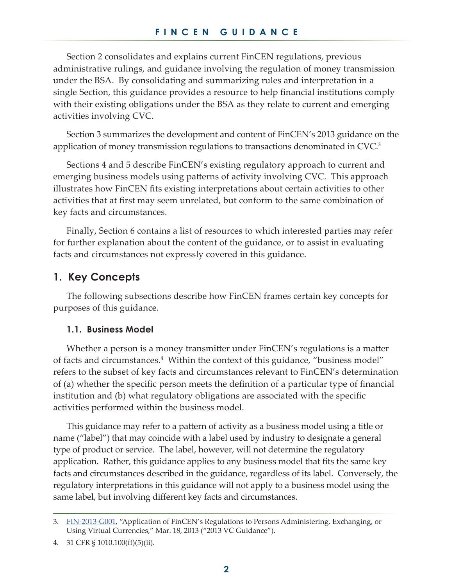Section 2 consolidates and explains current FinCEN regulations, previous administrative rulings, and guidance involving the regulation of money transmission under the BSA. By consolidating and summarizing rules and interpretation in a single Section, this guidance provides a resource to help financial institutions comply with their existing obligations under the BSA as they relate to current and emerging activities involving CVC.

Section 3 summarizes the development and content of FinCEN's 2013 guidance on the application of money transmission regulations to transactions denominated in CVC.<sup>3</sup>

Sections 4 and 5 describe FinCEN's existing regulatory approach to current and emerging business models using patterns of activity involving CVC. This approach illustrates how FinCEN fits existing interpretations about certain activities to other activities that at first may seem unrelated, but conform to the same combination of key facts and circumstances.

Finally, Section 6 contains a list of resources to which interested parties may refer for further explanation about the content of the guidance, or to assist in evaluating facts and circumstances not expressly covered in this guidance.

# **1. Key Concepts**

The following subsections describe how FinCEN frames certain key concepts for purposes of this guidance.

#### **1.1. Business Model**

Whether a person is a money transmitter under FinCEN's regulations is a matter of facts and circumstances.<sup>4</sup> Within the context of this guidance, "business model" refers to the subset of key facts and circumstances relevant to FinCEN's determination of (a) whether the specific person meets the definition of a particular type of financial institution and (b) what regulatory obligations are associated with the specific activities performed within the business model.

This guidance may refer to a pattern of activity as a business model using a title or name ("label") that may coincide with a label used by industry to designate a general type of product or service. The label, however, will not determine the regulatory application. Rather, this guidance applies to any business model that fits the same key facts and circumstances described in the guidance, regardless of its label. Conversely, the regulatory interpretations in this guidance will not apply to a business model using the same label, but involving different key facts and circumstances.

<sup>3.</sup> [FIN-2013-G001,](https://www.fincen.gov/sites/default/files/shared/FIN-2013-G001.pdf) "Application of FinCEN's Regulations to Persons Administering, Exchanging, or Using Virtual Currencies," Mar. 18, 2013 ("2013 VC Guidance").

<sup>4. 31</sup> CFR § 1010.100(ff)(5)(ii).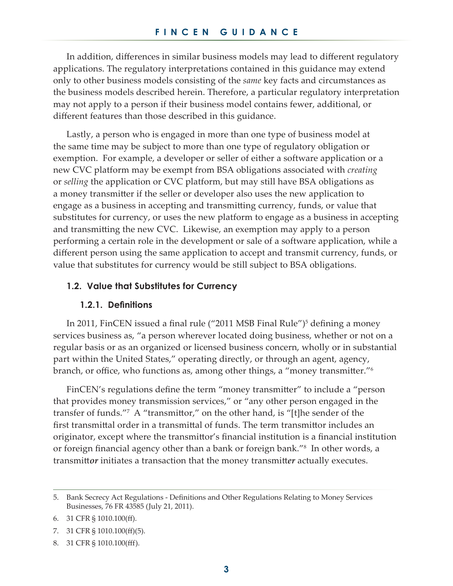In addition, differences in similar business models may lead to different regulatory applications. The regulatory interpretations contained in this guidance may extend only to other business models consisting of the *same* key facts and circumstances as the business models described herein. Therefore, a particular regulatory interpretation may not apply to a person if their business model contains fewer, additional, or different features than those described in this guidance.

Lastly, a person who is engaged in more than one type of business model at the same time may be subject to more than one type of regulatory obligation or exemption. For example, a developer or seller of either a software application or a new CVC platform may be exempt from BSA obligations associated with *creating* or *selling* the application or CVC platform, but may still have BSA obligations as a money transmitter if the seller or developer also uses the new application to engage as a business in accepting and transmitting currency, funds, or value that substitutes for currency, or uses the new platform to engage as a business in accepting and transmitting the new CVC. Likewise, an exemption may apply to a person performing a certain role in the development or sale of a software application, while a different person using the same application to accept and transmit currency, funds, or value that substitutes for currency would be still subject to BSA obligations.

#### **1.2. Value that Substitutes for Currency**

#### **1.2.1. Definitions**

In 2011, FinCEN issued a final rule ("2011 MSB Final Rule")<sup>5</sup> defining a money services business as, "a person wherever located doing business, whether or not on a regular basis or as an organized or licensed business concern, wholly or in substantial part within the United States," operating directly, or through an agent, agency, branch, or office, who functions as, among other things, a "money transmitter."<sup>6</sup>

FinCEN's regulations define the term "money transmitter" to include a "person that provides money transmission services," or "any other person engaged in the transfer of funds."<sup>7</sup> A "transmittor," on the other hand, is "[t]he sender of the first transmittal order in a transmittal of funds. The term transmittor includes an originator, except where the transmittor's financial institution is a financial institution or foreign financial agency other than a bank or foreign bank."8 In other words, a transmitt*or* initiates a transaction that the money transmitt*er* actually executes.

<sup>5.</sup> Bank Secrecy Act Regulations - Definitions and Other Regulations Relating to Money Services Businesses, 76 FR 43585 (July 21, 2011).

<sup>6. 31</sup> CFR § 1010.100(ff).

<sup>7. 31</sup> CFR § 1010.100(ff)(5).

<sup>8. 31</sup> CFR § 1010.100(fff).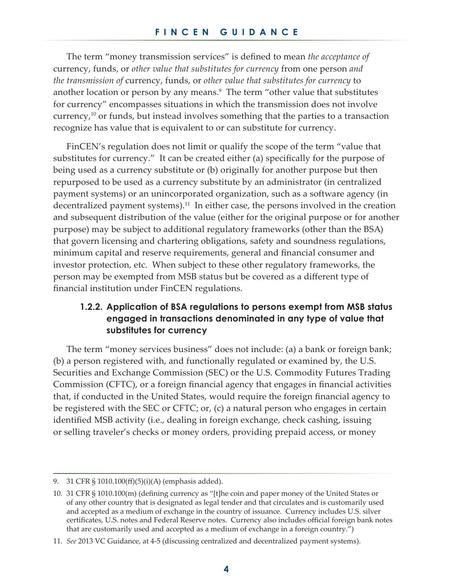The term "money transmission services" is defined to mean *the acceptance of* currency, funds, or *other value that substitutes for currency* from one person *and the transmission of* currency, funds, or *other value that substitutes for currency* to another location or person by any means.<sup>9</sup> The term "other value that substitutes for currency" encompasses situations in which the transmission does not involve currency,<sup>10</sup> or funds, but instead involves something that the parties to a transaction recognize has value that is equivalent to or can substitute for currency.

FinCEN's regulation does not limit or qualify the scope of the term "value that substitutes for currency." It can be created either (a) specifically for the purpose of being used as a currency substitute or (b) originally for another purpose but then repurposed to be used as a currency substitute by an administrator (in centralized payment systems) or an unincorporated organization, such as a software agency (in decentralized payment systems).<sup>11</sup> In either case, the persons involved in the creation and subsequent distribution of the value (either for the original purpose or for another purpose) may be subject to additional regulatory frameworks (other than the BSA) that govern licensing and chartering obligations, safety and soundness regulations, minimum capital and reserve requirements, general and financial consumer and investor protection, etc. When subject to these other regulatory frameworks, the person may be exempted from MSB status but be covered as a different type of financial institution under FinCEN regulations.

## **1.2.2. Application of BSA regulations to persons exempt from MSB status engaged in transactions denominated in any type of value that substitutes for currency**

The term "money services business" does not include: (a) a bank or foreign bank; (b) a person registered with, and functionally regulated or examined by, the U.S. Securities and Exchange Commission (SEC) or the U.S. Commodity Futures Trading Commission (CFTC), or a foreign financial agency that engages in financial activities that, if conducted in the United States, would require the foreign financial agency to be registered with the SEC or CFTC; or, (c) a natural person who engages in certain identified MSB activity (i.e., dealing in foreign exchange, check cashing, issuing or selling traveler's checks or money orders, providing prepaid access, or money

<sup>9. 31</sup> CFR § 1010.100(ff)(5)(i)(A) (emphasis added).

<sup>10. 31</sup> CFR § 1010.100(m) (defining currency as "[t]he coin and paper money of the United States or of any other country that is designated as legal tender and that circulates and is customarily used and accepted as a medium of exchange in the country of issuance. Currency includes U.S. silver certificates, U.S. notes and Federal Reserve notes. Currency also includes official foreign bank notes that are customarily used and accepted as a medium of exchange in a foreign country.")

<sup>11.</sup> *See* 2013 VC Guidance, at 4-5 (discussing centralized and decentralized payment systems).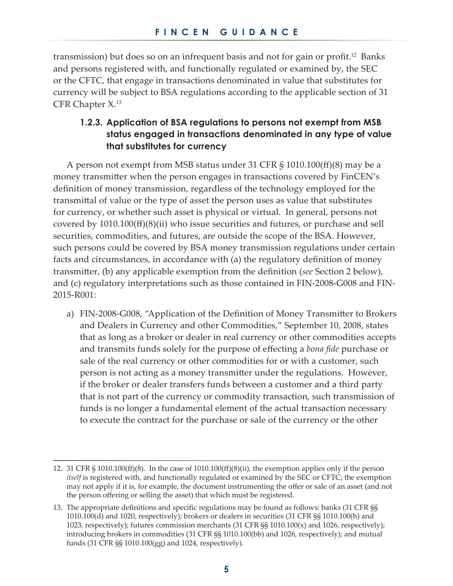transmission) but does so on an infrequent basis and not for gain or profit.<sup>12</sup> Banks and persons registered with, and functionally regulated or examined by, the SEC or the CFTC, that engage in transactions denominated in value that substitutes for currency will be subject to BSA regulations according to the applicable section of 31 CFR Chapter X.13

# **1.2.3. Application of BSA regulations to persons not exempt from MSB status engaged in transactions denominated in any type of value that substitutes for currency**

A person not exempt from MSB status under 31 CFR § 1010.100(ff)(8) may be a money transmitter when the person engages in transactions covered by FinCEN's definition of money transmission, regardless of the technology employed for the transmittal of value or the type of asset the person uses as value that substitutes for currency, or whether such asset is physical or virtual. In general, persons not covered by 1010.100(ff)(8)(ii) who issue securities and futures, or purchase and sell securities, commodities, and futures, are outside the scope of the BSA. However, such persons could be covered by BSA money transmission regulations under certain facts and circumstances, in accordance with (a) the regulatory definition of money transmitter, (b) any applicable exemption from the definition (*see* Section 2 below), and (c) regulatory interpretations such as those contained in FIN-2008-G008 and FIN-2015-R001:

a) FIN-2008-G008, "Application of the Definition of Money Transmitter to Brokers and Dealers in Currency and other Commodities," September 10, 2008, states that as long as a broker or dealer in real currency or other commodities accepts and transmits funds solely for the purpose of effecting a *bona fide* purchase or sale of the real currency or other commodities for or with a customer, such person is not acting as a money transmitter under the regulations. However, if the broker or dealer transfers funds between a customer and a third party that is not part of the currency or commodity transaction, such transmission of funds is no longer a fundamental element of the actual transaction necessary to execute the contract for the purchase or sale of the currency or the other

<sup>12. 31</sup> CFR § 1010.100(ff)(8). In the case of 1010.100(ff)(8)(ii), the exemption applies only if the person *itself* is registered with, and functionally regulated or examined by the SEC or CFTC; the exemption may not apply if it is, for example, the document instrumenting the offer or sale of an asset (and not the person offering or selling the asset) that which must be registered.

<sup>13.</sup> The appropriate definitions and specific regulations may be found as follows: banks (31 CFR §§ 1010.100(d) and 1020, respectively); brokers or dealers in securities (31 CFR §§ 1010.100(h) and 1023, respectively); futures commission merchants (31 CFR §§ 1010.100(x) and 1026, respectively); introducing brokers in commodities (31 CFR §§ 1010.100(bb) and 1026, respectively); and mutual funds (31 CFR §§ 1010.100(gg) and 1024, respectively).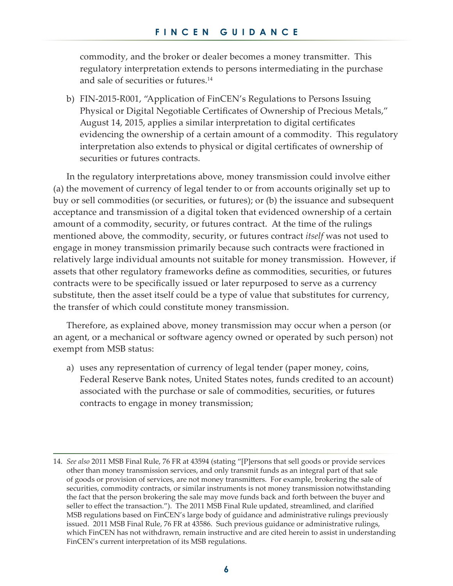commodity, and the broker or dealer becomes a money transmitter. This regulatory interpretation extends to persons intermediating in the purchase and sale of securities or futures.<sup>14</sup>

b) FIN-2015-R001, "Application of FinCEN's Regulations to Persons Issuing Physical or Digital Negotiable Certificates of Ownership of Precious Metals," August 14, 2015, applies a similar interpretation to digital certificates evidencing the ownership of a certain amount of a commodity. This regulatory interpretation also extends to physical or digital certificates of ownership of securities or futures contracts.

In the regulatory interpretations above, money transmission could involve either (a) the movement of currency of legal tender to or from accounts originally set up to buy or sell commodities (or securities, or futures); or (b) the issuance and subsequent acceptance and transmission of a digital token that evidenced ownership of a certain amount of a commodity, security, or futures contract. At the time of the rulings mentioned above, the commodity, security, or futures contract *itself* was not used to engage in money transmission primarily because such contracts were fractioned in relatively large individual amounts not suitable for money transmission. However, if assets that other regulatory frameworks define as commodities, securities, or futures contracts were to be specifically issued or later repurposed to serve as a currency substitute, then the asset itself could be a type of value that substitutes for currency, the transfer of which could constitute money transmission.

Therefore, as explained above, money transmission may occur when a person (or an agent, or a mechanical or software agency owned or operated by such person) not exempt from MSB status:

a) uses any representation of currency of legal tender (paper money, coins, Federal Reserve Bank notes, United States notes, funds credited to an account) associated with the purchase or sale of commodities, securities, or futures contracts to engage in money transmission;

<sup>14.</sup> *See also* 2011 MSB Final Rule, 76 FR at 43594 (stating "[P]ersons that sell goods or provide services other than money transmission services, and only transmit funds as an integral part of that sale of goods or provision of services, are not money transmitters. For example, brokering the sale of securities, commodity contracts, or similar instruments is not money transmission notwithstanding the fact that the person brokering the sale may move funds back and forth between the buyer and seller to effect the transaction."). The 2011 MSB Final Rule updated, streamlined, and clarified MSB regulations based on FinCEN's large body of guidance and administrative rulings previously issued. 2011 MSB Final Rule, 76 FR at 43586. Such previous guidance or administrative rulings, which FinCEN has not withdrawn, remain instructive and are cited herein to assist in understanding FinCEN's current interpretation of its MSB regulations.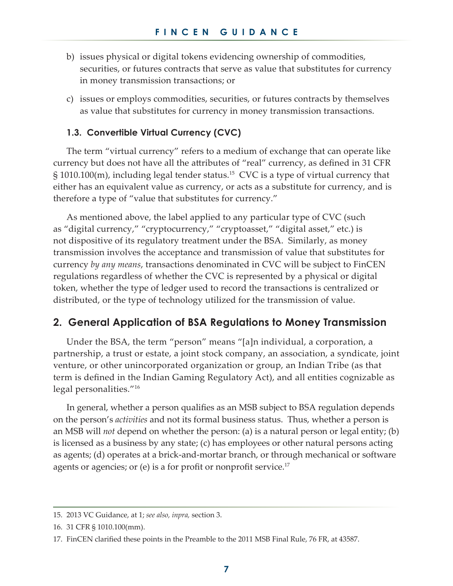- b) issues physical or digital tokens evidencing ownership of commodities, securities, or futures contracts that serve as value that substitutes for currency in money transmission transactions; or
- c) issues or employs commodities, securities, or futures contracts by themselves as value that substitutes for currency in money transmission transactions.

#### **1.3. Convertible Virtual Currency (CVC)**

The term "virtual currency" refers to a medium of exchange that can operate like currency but does not have all the attributes of "real" currency, as defined in 31 CFR § 1010.100(m), including legal tender status.<sup>15</sup> CVC is a type of virtual currency that either has an equivalent value as currency, or acts as a substitute for currency, and is therefore a type of "value that substitutes for currency."

As mentioned above, the label applied to any particular type of CVC (such as "digital currency," "cryptocurrency," "cryptoasset," "digital asset," etc.) is not dispositive of its regulatory treatment under the BSA. Similarly, as money transmission involves the acceptance and transmission of value that substitutes for currency *by any means*, transactions denominated in CVC will be subject to FinCEN regulations regardless of whether the CVC is represented by a physical or digital token, whether the type of ledger used to record the transactions is centralized or distributed, or the type of technology utilized for the transmission of value.

## **2. General Application of BSA Regulations to Money Transmission**

Under the BSA, the term "person" means "[a]n individual, a corporation, a partnership, a trust or estate, a joint stock company, an association, a syndicate, joint venture, or other unincorporated organization or group, an Indian Tribe (as that term is defined in the Indian Gaming Regulatory Act), and all entities cognizable as legal personalities."<sup>16</sup>

In general, whether a person qualifies as an MSB subject to BSA regulation depends on the person's *activities* and not its formal business status. Thus, whether a person is an MSB will *not* depend on whether the person: (a) is a natural person or legal entity; (b) is licensed as a business by any state; (c) has employees or other natural persons acting as agents; (d) operates at a brick-and-mortar branch, or through mechanical or software agents or agencies; or (e) is a for profit or nonprofit service.<sup>17</sup>

<sup>15. 2013</sup> VC Guidance, at 1; *see also, inpra,* section 3.

<sup>16. 31</sup> CFR § 1010.100(mm).

<sup>17.</sup> FinCEN clarified these points in the Preamble to the 2011 MSB Final Rule, 76 FR, at 43587.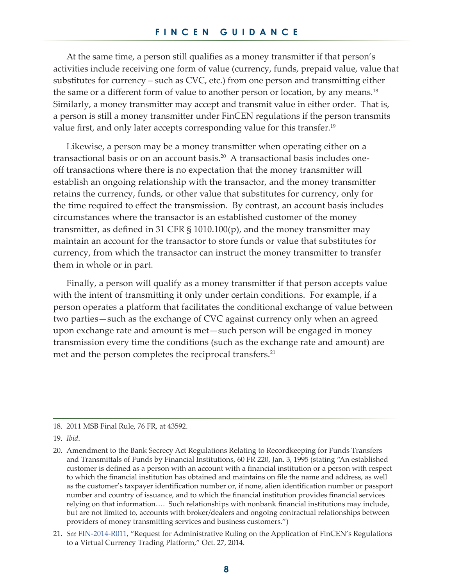At the same time, a person still qualifies as a money transmitter if that person's activities include receiving one form of value (currency, funds, prepaid value, value that substitutes for currency – such as CVC, etc.) from one person and transmitting either the same or a different form of value to another person or location, by any means.<sup>18</sup> Similarly, a money transmitter may accept and transmit value in either order. That is, a person is still a money transmitter under FinCEN regulations if the person transmits value first, and only later accepts corresponding value for this transfer.<sup>19</sup>

Likewise, a person may be a money transmitter when operating either on a transactional basis or on an account basis.<sup>20</sup> A transactional basis includes oneoff transactions where there is no expectation that the money transmitter will establish an ongoing relationship with the transactor, and the money transmitter retains the currency, funds, or other value that substitutes for currency, only for the time required to effect the transmission. By contrast, an account basis includes circumstances where the transactor is an established customer of the money transmitter, as defined in 31 CFR § 1010.100(p), and the money transmitter may maintain an account for the transactor to store funds or value that substitutes for currency, from which the transactor can instruct the money transmitter to transfer them in whole or in part.

Finally, a person will qualify as a money transmitter if that person accepts value with the intent of transmitting it only under certain conditions. For example, if a person operates a platform that facilitates the conditional exchange of value between two parties—such as the exchange of CVC against currency only when an agreed upon exchange rate and amount is met—such person will be engaged in money transmission every time the conditions (such as the exchange rate and amount) are met and the person completes the reciprocal transfers.<sup>21</sup>

21. *See* [FIN-2014-R011](https://www.fincen.gov/sites/default/files/administrative_ruling/FIN-2014-R011.pdf), "Request for Administrative Ruling on the Application of FinCEN's Regulations to a Virtual Currency Trading Platform," Oct. 27, 2014.

<sup>18. 2011</sup> MSB Final Rule, 76 FR, at 43592.

<sup>19.</sup> *Ibid*.

<sup>20.</sup> Amendment to the Bank Secrecy Act Regulations Relating to Recordkeeping for Funds Transfers and Transmittals of Funds by Financial Institutions, 60 FR 220, Jan. 3, 1995 (stating "An established customer is defined as a person with an account with a financial institution or a person with respect to which the financial institution has obtained and maintains on file the name and address, as well as the customer's taxpayer identification number or, if none, alien identification number or passport number and country of issuance, and to which the financial institution provides financial services relying on that information…. Such relationships with nonbank financial institutions may include, but are not limited to, accounts with broker/dealers and ongoing contractual relationships between providers of money transmitting services and business customers.")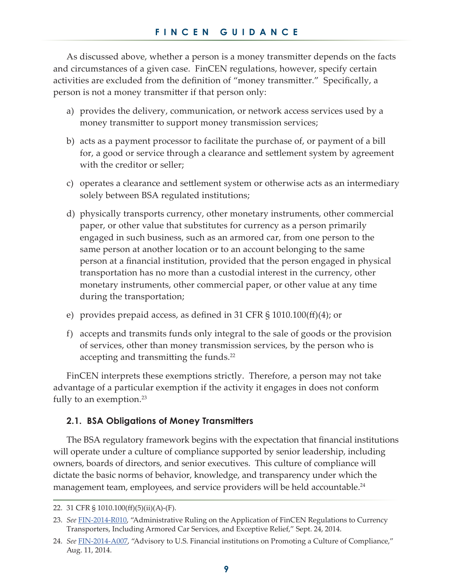As discussed above, whether a person is a money transmitter depends on the facts and circumstances of a given case. FinCEN regulations, however, specify certain activities are excluded from the definition of "money transmitter." Specifically, a person is not a money transmitter if that person only:

- a) provides the delivery, communication, or network access services used by a money transmitter to support money transmission services;
- b) acts as a payment processor to facilitate the purchase of, or payment of a bill for, a good or service through a clearance and settlement system by agreement with the creditor or seller;
- c) operates a clearance and settlement system or otherwise acts as an intermediary solely between BSA regulated institutions;
- d) physically transports currency, other monetary instruments, other commercial paper, or other value that substitutes for currency as a person primarily engaged in such business, such as an armored car, from one person to the same person at another location or to an account belonging to the same person at a financial institution, provided that the person engaged in physical transportation has no more than a custodial interest in the currency, other monetary instruments, other commercial paper, or other value at any time during the transportation;
- e) provides prepaid access, as defined in 31 CFR § 1010.100(ff)(4); or
- f) accepts and transmits funds only integral to the sale of goods or the provision of services, other than money transmission services, by the person who is accepting and transmitting the funds.<sup>22</sup>

FinCEN interprets these exemptions strictly. Therefore, a person may not take advantage of a particular exemption if the activity it engages in does not conform fully to an exemption.<sup>23</sup>

#### **2.1. BSA Obligations of Money Transmitters**

The BSA regulatory framework begins with the expectation that financial institutions will operate under a culture of compliance supported by senior leadership, including owners, boards of directors, and senior executives. This culture of compliance will dictate the basic norms of behavior, knowledge, and transparency under which the management team, employees, and service providers will be held accountable.<sup>24</sup>

<sup>22. 31</sup> CFR § 1010.100(ff)(5)(ii)(A)-(F).

<sup>23.</sup> *See* [FIN-2014-R010](https://www.fincen.gov/sites/default/files/administrative_ruling/FIN-2014-R010.pdf), "Administrative Ruling on the Application of FinCEN Regulations to Currency Transporters, Including Armored Car Services, and Exceptive Relief," Sept. 24, 2014.

<sup>24.</sup> *See* [FIN-2014-A007,](https://www.fincen.gov/sites/default/files/advisory/FIN-2014-A007.pdf) "Advisory to U.S. Financial institutions on Promoting a Culture of Compliance," Aug. 11, 2014.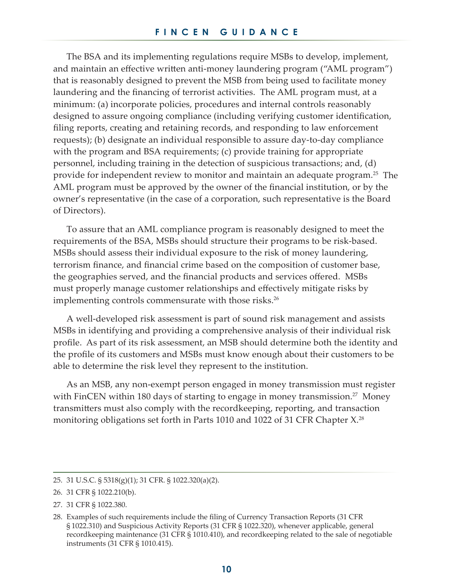The BSA and its implementing regulations require MSBs to develop, implement, and maintain an effective written anti-money laundering program ("AML program") that is reasonably designed to prevent the MSB from being used to facilitate money laundering and the financing of terrorist activities. The AML program must, at a minimum: (a) incorporate policies, procedures and internal controls reasonably designed to assure ongoing compliance (including verifying customer identification, filing reports, creating and retaining records, and responding to law enforcement requests); (b) designate an individual responsible to assure day-to-day compliance with the program and BSA requirements; (c) provide training for appropriate personnel, including training in the detection of suspicious transactions; and, (d) provide for independent review to monitor and maintain an adequate program.<sup>25</sup> The AML program must be approved by the owner of the financial institution, or by the owner's representative (in the case of a corporation, such representative is the Board of Directors).

To assure that an AML compliance program is reasonably designed to meet the requirements of the BSA, MSBs should structure their programs to be risk-based. MSBs should assess their individual exposure to the risk of money laundering, terrorism finance, and financial crime based on the composition of customer base, the geographies served, and the financial products and services offered. MSBs must properly manage customer relationships and effectively mitigate risks by implementing controls commensurate with those risks.<sup>26</sup>

A well-developed risk assessment is part of sound risk management and assists MSBs in identifying and providing a comprehensive analysis of their individual risk profile. As part of its risk assessment, an MSB should determine both the identity and the profile of its customers and MSBs must know enough about their customers to be able to determine the risk level they represent to the institution.

As an MSB, any non-exempt person engaged in money transmission must register with FinCEN within 180 days of starting to engage in money transmission.<sup>27</sup> Money transmitters must also comply with the recordkeeping, reporting, and transaction monitoring obligations set forth in Parts 1010 and 1022 of 31 CFR Chapter X.<sup>28</sup>

<sup>25. 31</sup> U.S.C. § 5318(g)(1); 31 CFR. § 1022.320(a)(2).

<sup>26. 31</sup> CFR § 1022.210(b).

<sup>27. 31</sup> CFR § 1022.380.

<sup>28.</sup> Examples of such requirements include the filing of Currency Transaction Reports (31 CFR § 1022.310) and Suspicious Activity Reports (31 CFR § 1022.320), whenever applicable, general recordkeeping maintenance (31 CFR § 1010.410), and recordkeeping related to the sale of negotiable instruments (31 CFR § 1010.415).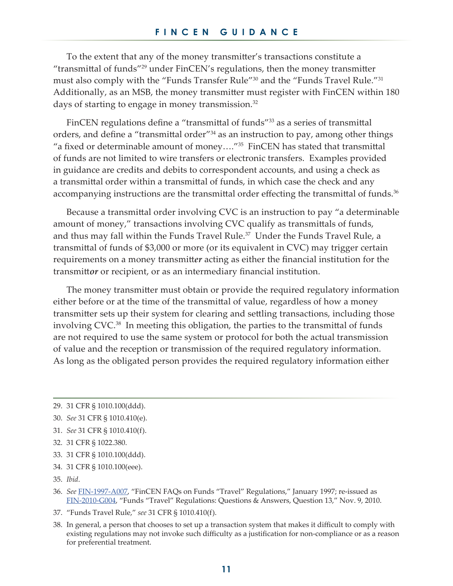To the extent that any of the money transmitter's transactions constitute a "transmittal of funds"<sup>29</sup> under FinCEN's regulations, then the money transmitter must also comply with the "Funds Transfer Rule"<sup>30</sup> and the "Funds Travel Rule."<sup>31</sup> Additionally, as an MSB, the money transmitter must register with FinCEN within 180 days of starting to engage in money transmission.<sup>32</sup>

FinCEN regulations define a "transmittal of funds"<sup>33</sup> as a series of transmittal orders, and define a "transmittal order"<sup>34</sup> as an instruction to pay, among other things "a fixed or determinable amount of money...."<sup>35</sup> FinCEN has stated that transmittal of funds are not limited to wire transfers or electronic transfers. Examples provided in guidance are credits and debits to correspondent accounts, and using a check as a transmittal order within a transmittal of funds, in which case the check and any accompanying instructions are the transmittal order effecting the transmittal of funds.<sup>36</sup>

Because a transmittal order involving CVC is an instruction to pay "a determinable amount of money," transactions involving CVC qualify as transmittals of funds, and thus may fall within the Funds Travel Rule. $37$  Under the Funds Travel Rule, a transmittal of funds of \$3,000 or more (or its equivalent in CVC) may trigger certain requirements on a money transmitt*er* acting as either the financial institution for the transmitt*or* or recipient, or as an intermediary financial institution.

The money transmitter must obtain or provide the required regulatory information either before or at the time of the transmittal of value, regardless of how a money transmitter sets up their system for clearing and settling transactions, including those involving CVC.38 In meeting this obligation, the parties to the transmittal of funds are not required to use the same system or protocol for both the actual transmission of value and the reception or transmission of the required regulatory information. As long as the obligated person provides the required regulatory information either

- 30. *See* 31 CFR § 1010.410(e).
- 31. *See* 31 CFR § 1010.410(f).
- 32. 31 CFR § 1022.380.
- 33. 31 CFR § 1010.100(ddd).
- 34. 31 CFR § 1010.100(eee).
- 35. *Ibid*.
- 36. *See* [FIN-1997-A007,](https://www.fincen.gov/sites/default/files/advisory/advissu7.pdf) "FinCEN FAQs on Funds "Travel" Regulations," January 1997; re-issued as [FIN-2010-G004,](https://www.fincen.gov/sites/default/files/shared/fin-2010-g004.pdf) "Funds "Travel" Regulations: Questions & Answers, Question 13," Nov. 9, 2010.
- 37. "Funds Travel Rule," *see* 31 CFR § 1010.410(f).
- 38. In general, a person that chooses to set up a transaction system that makes it difficult to comply with existing regulations may not invoke such difficulty as a justification for non-compliance or as a reason for preferential treatment.

<sup>29. 31</sup> CFR § 1010.100(ddd).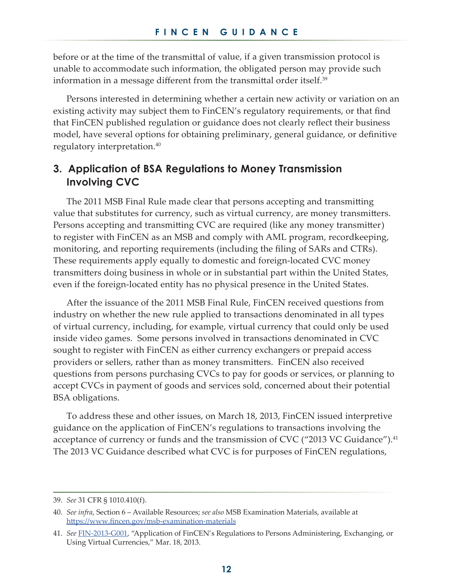before or at the time of the transmittal of value, if a given transmission protocol is unable to accommodate such information, the obligated person may provide such information in a message different from the transmittal order itself.<sup>39</sup>

Persons interested in determining whether a certain new activity or variation on an existing activity may subject them to FinCEN's regulatory requirements, or that find that FinCEN published regulation or guidance does not clearly reflect their business model, have several options for obtaining preliminary, general guidance, or definitive regulatory interpretation.<sup>40</sup>

# **3. Application of BSA Regulations to Money Transmission Involving CVC**

The 2011 MSB Final Rule made clear that persons accepting and transmitting value that substitutes for currency, such as virtual currency, are money transmitters. Persons accepting and transmitting CVC are required (like any money transmitter) to register with FinCEN as an MSB and comply with AML program, recordkeeping, monitoring, and reporting requirements (including the filing of SARs and CTRs). These requirements apply equally to domestic and foreign-located CVC money transmitters doing business in whole or in substantial part within the United States, even if the foreign-located entity has no physical presence in the United States.

After the issuance of the 2011 MSB Final Rule, FinCEN received questions from industry on whether the new rule applied to transactions denominated in all types of virtual currency, including, for example, virtual currency that could only be used inside video games. Some persons involved in transactions denominated in CVC sought to register with FinCEN as either currency exchangers or prepaid access providers or sellers, rather than as money transmitters. FinCEN also received questions from persons purchasing CVCs to pay for goods or services, or planning to accept CVCs in payment of goods and services sold, concerned about their potential BSA obligations.

To address these and other issues, on March 18, 2013, FinCEN issued interpretive guidance on the application of FinCEN's regulations to transactions involving the acceptance of currency or funds and the transmission of CVC ( $"2013$  VC Guidance").<sup>41</sup> The 2013 VC Guidance described what CVC is for purposes of FinCEN regulations,

<sup>39.</sup> *See* 31 CFR § 1010.410(f).

<sup>40.</sup> *See infra*, Section 6 – Available Resources; *see also* MSB Examination Materials, available at https://www.fincen.gov/msb-examination-materials

<sup>41.</sup> *See* [FIN-2013-G001](https://www.fincen.gov/sites/default/files/shared/FIN-2013-G001.pdf), "Application of FinCEN's Regulations to Persons Administering, Exchanging, or Using Virtual Currencies," Mar. 18, 2013.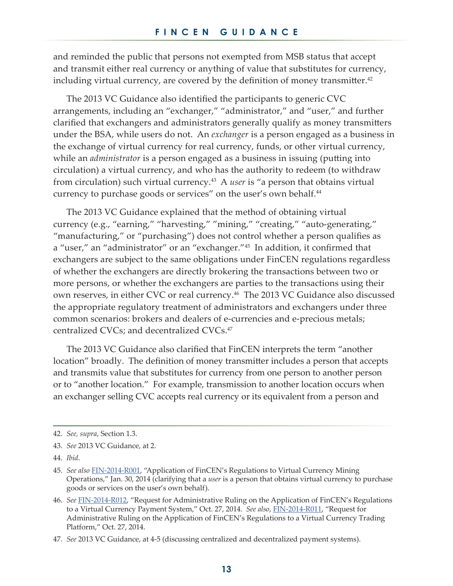and reminded the public that persons not exempted from MSB status that accept and transmit either real currency or anything of value that substitutes for currency, including virtual currency, are covered by the definition of money transmitter. $42$ 

The 2013 VC Guidance also identified the participants to generic CVC arrangements, including an "exchanger," "administrator," and "user," and further clarified that exchangers and administrators generally qualify as money transmitters under the BSA, while users do not. An *exchanger* is a person engaged as a business in the exchange of virtual currency for real currency, funds, or other virtual currency, while an *administrator* is a person engaged as a business in issuing (putting into circulation) a virtual currency, and who has the authority to redeem (to withdraw from circulation) such virtual currency.43 A *user* is "a person that obtains virtual currency to purchase goods or services" on the user's own behalf.<sup>44</sup>

The 2013 VC Guidance explained that the method of obtaining virtual currency (e.g., "earning," "harvesting," "mining," "creating," "auto-generating," "manufacturing," or "purchasing") does not control whether a person qualifies as a "user," an "administrator" or an "exchanger."<sup>45</sup> In addition, it confirmed that exchangers are subject to the same obligations under FinCEN regulations regardless of whether the exchangers are directly brokering the transactions between two or more persons, or whether the exchangers are parties to the transactions using their own reserves, in either CVC or real currency.<sup>46</sup> The 2013 VC Guidance also discussed the appropriate regulatory treatment of administrators and exchangers under three common scenarios: brokers and dealers of e-currencies and e-precious metals; centralized CVCs; and decentralized CVCs.<sup>47</sup>

The 2013 VC Guidance also clarified that FinCEN interprets the term "another location" broadly. The definition of money transmitter includes a person that accepts and transmits value that substitutes for currency from one person to another person or to "another location." For example, transmission to another location occurs when an exchanger selling CVC accepts real currency or its equivalent from a person and

46. *See* [FIN-2014-R012](https://www.fincen.gov/sites/default/files/administrative_ruling/FIN-2014-R012.pdf), "Request for Administrative Ruling on the Application of FinCEN's Regulations to a Virtual Currency Payment System," Oct. 27, 2014. *See also*, [FIN-2014-R011](https://www.fincen.gov/sites/default/files/administrative_ruling/FIN-2014-R011.pdf), "Request for Administrative Ruling on the Application of FinCEN's Regulations to a Virtual Currency Trading Platform," Oct. 27, 2014.

<sup>42.</sup> *See, supra*, Section 1.3.

<sup>43.</sup> *See* 2013 VC Guidance, at 2.

<sup>44.</sup> *Ibid*.

<sup>45.</sup> *See also* [FIN-2014-R001](https://www.fincen.gov/sites/default/files/administrative_ruling/FIN-2014-R001.pdf), "Application of FinCEN's Regulations to Virtual Currency Mining Operations," Jan. 30, 2014 (clarifying that a *user* is a person that obtains virtual currency to purchase goods or services on the user's own behalf).

<sup>47.</sup> *See* 2013 VC Guidance, at 4-5 (discussing centralized and decentralized payment systems).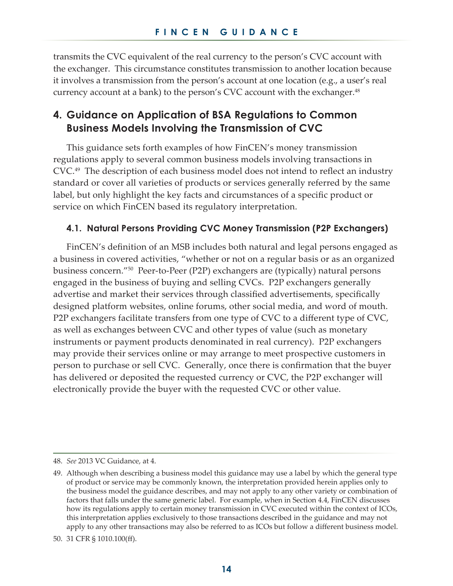transmits the CVC equivalent of the real currency to the person's CVC account with the exchanger. This circumstance constitutes transmission to another location because it involves a transmission from the person's account at one location (e.g., a user's real currency account at a bank) to the person's CVC account with the exchanger.<sup>48</sup>

# **4. Guidance on Application of BSA Regulations to Common Business Models Involving the Transmission of CVC**

This guidance sets forth examples of how FinCEN's money transmission regulations apply to several common business models involving transactions in CVC.<sup>49</sup> The description of each business model does not intend to reflect an industry standard or cover all varieties of products or services generally referred by the same label, but only highlight the key facts and circumstances of a specific product or service on which FinCEN based its regulatory interpretation.

## **4.1. Natural Persons Providing CVC Money Transmission (P2P Exchangers)**

FinCEN's definition of an MSB includes both natural and legal persons engaged as a business in covered activities, "whether or not on a regular basis or as an organized business concern."<sup>50</sup> Peer-to-Peer (P2P) exchangers are (typically) natural persons engaged in the business of buying and selling CVCs. P2P exchangers generally advertise and market their services through classified advertisements, specifically designed platform websites, online forums, other social media, and word of mouth. P2P exchangers facilitate transfers from one type of CVC to a different type of CVC, as well as exchanges between CVC and other types of value (such as monetary instruments or payment products denominated in real currency). P2P exchangers may provide their services online or may arrange to meet prospective customers in person to purchase or sell CVC. Generally, once there is confirmation that the buyer has delivered or deposited the requested currency or CVC, the P2P exchanger will electronically provide the buyer with the requested CVC or other value.

<sup>48.</sup> *See* 2013 VC Guidance, at 4.

<sup>49.</sup> Although when describing a business model this guidance may use a label by which the general type of product or service may be commonly known, the interpretation provided herein applies only to the business model the guidance describes, and may not apply to any other variety or combination of factors that falls under the same generic label. For example, when in Section 4.4, FinCEN discusses how its regulations apply to certain money transmission in CVC executed within the context of ICOs, this interpretation applies exclusively to those transactions described in the guidance and may not apply to any other transactions may also be referred to as ICOs but follow a different business model.

<sup>50. 31</sup> CFR § 1010.100(ff).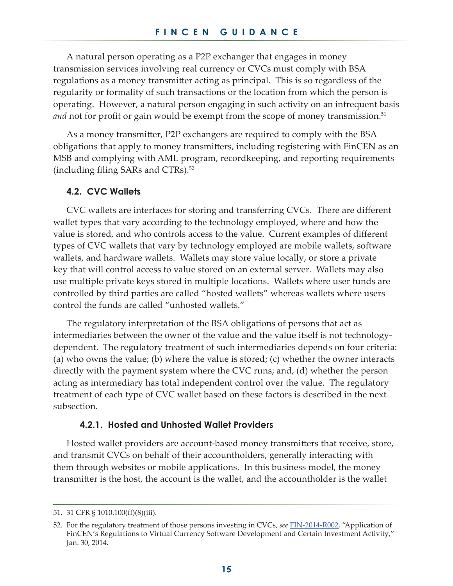A natural person operating as a P2P exchanger that engages in money transmission services involving real currency or CVCs must comply with BSA regulations as a money transmitter acting as principal. This is so regardless of the regularity or formality of such transactions or the location from which the person is operating. However, a natural person engaging in such activity on an infrequent basis *and* not for profit or gain would be exempt from the scope of money transmission.<sup>51</sup>

As a money transmitter, P2P exchangers are required to comply with the BSA obligations that apply to money transmitters, including registering with FinCEN as an MSB and complying with AML program, recordkeeping, and reporting requirements (including filing SARs and CTRs).<sup>52</sup>

#### **4.2. CVC Wallets**

CVC wallets are interfaces for storing and transferring CVCs. There are different wallet types that vary according to the technology employed, where and how the value is stored, and who controls access to the value. Current examples of different types of CVC wallets that vary by technology employed are mobile wallets, software wallets, and hardware wallets. Wallets may store value locally, or store a private key that will control access to value stored on an external server. Wallets may also use multiple private keys stored in multiple locations. Wallets where user funds are controlled by third parties are called "hosted wallets" whereas wallets where users control the funds are called "unhosted wallets."

The regulatory interpretation of the BSA obligations of persons that act as intermediaries between the owner of the value and the value itself is not technologydependent. The regulatory treatment of such intermediaries depends on four criteria: (a) who owns the value; (b) where the value is stored; (c) whether the owner interacts directly with the payment system where the CVC runs; and, (d) whether the person acting as intermediary has total independent control over the value. The regulatory treatment of each type of CVC wallet based on these factors is described in the next subsection.

#### **4.2.1. Hosted and Unhosted Wallet Providers**

Hosted wallet providers are account-based money transmitters that receive, store, and transmit CVCs on behalf of their accountholders, generally interacting with them through websites or mobile applications. In this business model, the money transmitter is the host, the account is the wallet, and the accountholder is the wallet

<sup>51. 31</sup> CFR § 1010.100(ff)(8)(iii).

<sup>52.</sup> For the regulatory treatment of those persons investing in CVCs, *see* [FIN-2014-R002](https://www.fincen.gov/sites/default/files/administrative_ruling/FIN-2014-R002.pdf), "Application of FinCEN's Regulations to Virtual Currency Software Development and Certain Investment Activity," Jan. 30, 2014.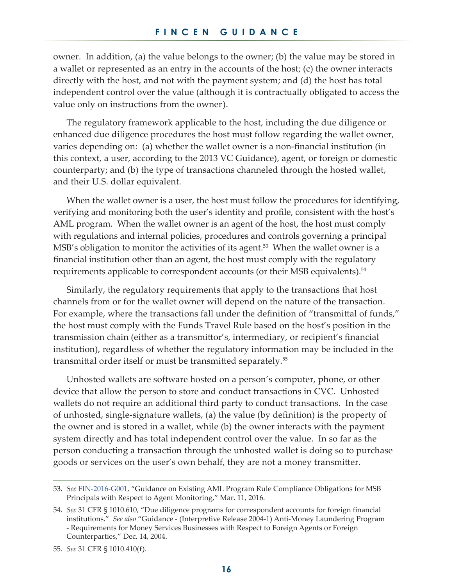owner. In addition, (a) the value belongs to the owner; (b) the value may be stored in a wallet or represented as an entry in the accounts of the host; (c) the owner interacts directly with the host, and not with the payment system; and (d) the host has total independent control over the value (although it is contractually obligated to access the value only on instructions from the owner).

The regulatory framework applicable to the host, including the due diligence or enhanced due diligence procedures the host must follow regarding the wallet owner, varies depending on: (a) whether the wallet owner is a non-financial institution (in this context, a user, according to the 2013 VC Guidance), agent, or foreign or domestic counterparty; and (b) the type of transactions channeled through the hosted wallet, and their U.S. dollar equivalent.

When the wallet owner is a user, the host must follow the procedures for identifying, verifying and monitoring both the user's identity and profile, consistent with the host's AML program. When the wallet owner is an agent of the host, the host must comply with regulations and internal policies, procedures and controls governing a principal MSB's obligation to monitor the activities of its agent.<sup>53</sup> When the wallet owner is a financial institution other than an agent, the host must comply with the regulatory requirements applicable to correspondent accounts (or their MSB equivalents).<sup>54</sup>

Similarly, the regulatory requirements that apply to the transactions that host channels from or for the wallet owner will depend on the nature of the transaction. For example, where the transactions fall under the definition of "transmittal of funds," the host must comply with the Funds Travel Rule based on the host's position in the transmission chain (either as a transmittor's, intermediary, or recipient's financial institution), regardless of whether the regulatory information may be included in the transmittal order itself or must be transmitted separately.<sup>55</sup>

Unhosted wallets are software hosted on a person's computer, phone, or other device that allow the person to store and conduct transactions in CVC. Unhosted wallets do not require an additional third party to conduct transactions. In the case of unhosted, single-signature wallets, (a) the value (by definition) is the property of the owner and is stored in a wallet, while (b) the owner interacts with the payment system directly and has total independent control over the value. In so far as the person conducting a transaction through the unhosted wallet is doing so to purchase goods or services on the user's own behalf, they are not a money transmitter.

<sup>53.</sup> *See* [FIN-2016-G001](https://www.fincen.gov/sites/default/files/shared/FIN-2016-G001.pdf), "Guidance on Existing AML Program Rule Compliance Obligations for MSB Principals with Respect to Agent Monitoring," Mar. 11, 2016.

<sup>54.</sup> *See* 31 CFR § 1010.610, "Due diligence programs for correspondent accounts for foreign financial institutions." *See also* "Guidance - (Interpretive Release 2004-1) Anti-Money Laundering Program - Requirements for Money Services Businesses with Respect to Foreign Agents or Foreign Counterparties," Dec. 14, 2004.

<sup>55.</sup> *See* 31 CFR § 1010.410(f).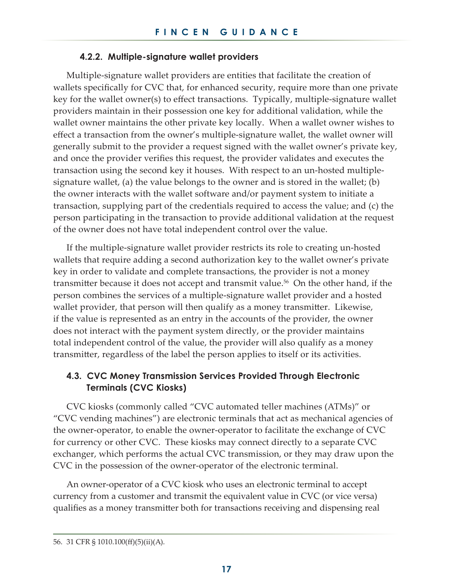#### **4.2.2. Multiple-signature wallet providers**

Multiple-signature wallet providers are entities that facilitate the creation of wallets specifically for CVC that, for enhanced security, require more than one private key for the wallet owner(s) to effect transactions. Typically, multiple-signature wallet providers maintain in their possession one key for additional validation, while the wallet owner maintains the other private key locally. When a wallet owner wishes to effect a transaction from the owner's multiple-signature wallet, the wallet owner will generally submit to the provider a request signed with the wallet owner's private key, and once the provider verifies this request, the provider validates and executes the transaction using the second key it houses. With respect to an un-hosted multiplesignature wallet, (a) the value belongs to the owner and is stored in the wallet; (b) the owner interacts with the wallet software and/or payment system to initiate a transaction, supplying part of the credentials required to access the value; and (c) the person participating in the transaction to provide additional validation at the request of the owner does not have total independent control over the value.

If the multiple-signature wallet provider restricts its role to creating un-hosted wallets that require adding a second authorization key to the wallet owner's private key in order to validate and complete transactions, the provider is not a money transmitter because it does not accept and transmit value.<sup>56</sup> On the other hand, if the person combines the services of a multiple-signature wallet provider and a hosted wallet provider, that person will then qualify as a money transmitter. Likewise, if the value is represented as an entry in the accounts of the provider, the owner does not interact with the payment system directly, or the provider maintains total independent control of the value, the provider will also qualify as a money transmitter, regardless of the label the person applies to itself or its activities.

## **4.3. CVC Money Transmission Services Provided Through Electronic Terminals (CVC Kiosks)**

CVC kiosks (commonly called "CVC automated teller machines (ATMs)" or "CVC vending machines") are electronic terminals that act as mechanical agencies of the owner-operator, to enable the owner-operator to facilitate the exchange of CVC for currency or other CVC. These kiosks may connect directly to a separate CVC exchanger, which performs the actual CVC transmission, or they may draw upon the CVC in the possession of the owner-operator of the electronic terminal.

An owner-operator of a CVC kiosk who uses an electronic terminal to accept currency from a customer and transmit the equivalent value in CVC (or vice versa) qualifies as a money transmitter both for transactions receiving and dispensing real

<sup>56. 31</sup> CFR § 1010.100(ff)(5)(ii)(A).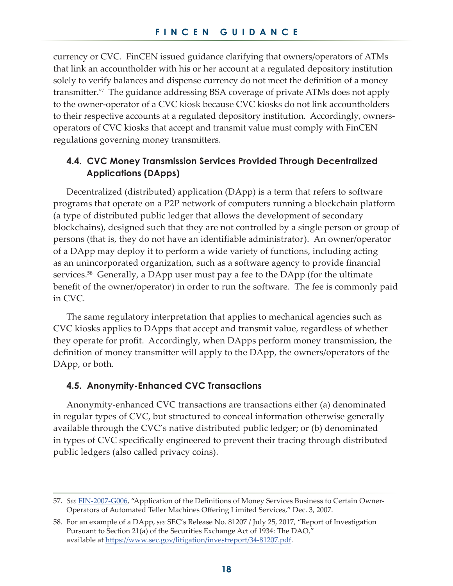currency or CVC. FinCEN issued guidance clarifying that owners/operators of ATMs that link an accountholder with his or her account at a regulated depository institution solely to verify balances and dispense currency do not meet the definition of a money transmitter.<sup>57</sup> The guidance addressing BSA coverage of private ATMs does not apply to the owner-operator of a CVC kiosk because CVC kiosks do not link accountholders to their respective accounts at a regulated depository institution. Accordingly, ownersoperators of CVC kiosks that accept and transmit value must comply with FinCEN regulations governing money transmitters.

## **4.4. CVC Money Transmission Services Provided Through Decentralized Applications (DApps)**

Decentralized (distributed) application (DApp) is a term that refers to software programs that operate on a P2P network of computers running a blockchain platform (a type of distributed public ledger that allows the development of secondary blockchains), designed such that they are not controlled by a single person or group of persons (that is, they do not have an identifiable administrator). An owner/operator of a DApp may deploy it to perform a wide variety of functions, including acting as an unincorporated organization, such as a software agency to provide financial services.<sup>58</sup> Generally, a DApp user must pay a fee to the DApp (for the ultimate benefit of the owner/operator) in order to run the software. The fee is commonly paid in CVC.

The same regulatory interpretation that applies to mechanical agencies such as CVC kiosks applies to DApps that accept and transmit value, regardless of whether they operate for profit. Accordingly, when DApps perform money transmission, the definition of money transmitter will apply to the DApp, the owners/operators of the DApp, or both.

## **4.5. Anonymity-Enhanced CVC Transactions**

Anonymity-enhanced CVC transactions are transactions either (a) denominated in regular types of CVC, but structured to conceal information otherwise generally available through the CVC's native distributed public ledger; or (b) denominated in types of CVC specifically engineered to prevent their tracing through distributed public ledgers (also called privacy coins).

<sup>57.</sup> *See* [FIN-2007-G006](https://www.fincen.gov/sites/default/files/shared/MSB-ATM-Guidance.pdf), "Application of the Definitions of Money Services Business to Certain Owner-Operators of Automated Teller Machines Offering Limited Services," Dec. 3, 2007.

<sup>58.</sup> For an example of a DApp, *see* SEC's Release No. 81207 / July 25, 2017, "Report of Investigation Pursuant to Section 21(a) of the Securities Exchange Act of 1934: The DAO," available at https://www.sec.gov/litigation/investreport/34-81207.pdf.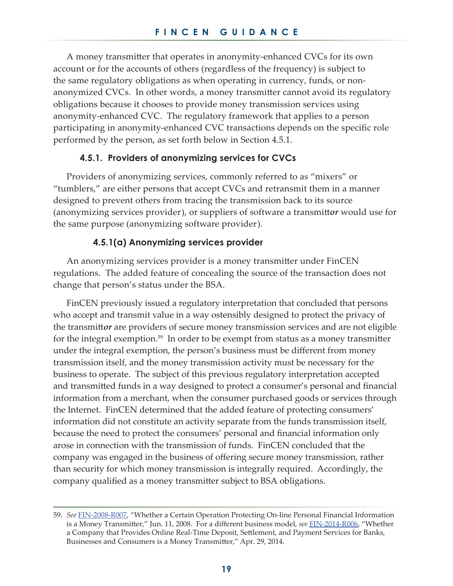A money transmitter that operates in anonymity-enhanced CVCs for its own account or for the accounts of others (regardless of the frequency) is subject to the same regulatory obligations as when operating in currency, funds, or nonanonymized CVCs. In other words, a money transmitter cannot avoid its regulatory obligations because it chooses to provide money transmission services using anonymity-enhanced CVC. The regulatory framework that applies to a person participating in anonymity-enhanced CVC transactions depends on the specific role performed by the person, as set forth below in Section 4.5.1.

#### **4.5.1. Providers of anonymizing services for CVCs**

Providers of anonymizing services, commonly referred to as "mixers" or "tumblers," are either persons that accept CVCs and retransmit them in a manner designed to prevent others from tracing the transmission back to its source (anonymizing services provider), or suppliers of software a transmitt*or* would use for the same purpose (anonymizing software provider).

#### **4.5.1(a) Anonymizing services provider**

An anonymizing services provider is a money transmitter under FinCEN regulations. The added feature of concealing the source of the transaction does not change that person's status under the BSA.

FinCEN previously issued a regulatory interpretation that concluded that persons who accept and transmit value in a way ostensibly designed to protect the privacy of the transmitt*or* are providers of secure money transmission services and are not eligible for the integral exemption.<sup>59</sup> In order to be exempt from status as a money transmitter under the integral exemption, the person's business must be different from money transmission itself, and the money transmission activity must be necessary for the business to operate. The subject of this previous regulatory interpretation accepted and transmitted funds in a way designed to protect a consumer's personal and financial information from a merchant, when the consumer purchased goods or services through the Internet. FinCEN determined that the added feature of protecting consumers' information did not constitute an activity separate from the funds transmission itself, because the need to protect the consumers' personal and financial information only arose in connection with the transmission of funds. FinCEN concluded that the company was engaged in the business of offering secure money transmission, rather than security for which money transmission is integrally required. Accordingly, the company qualified as a money transmitter subject to BSA obligations.

<sup>59.</sup> *See* [FIN-2008-R007](https://www.fincen.gov/sites/default/files/administrative_ruling/fin-2008-r007.pdf), "Whether a Certain Operation Protecting On-line Personal Financial Information is a Money Transmitter," Jun. 11, 2008. For a different business model, *see* [FIN-2014-R006](https://www.fincen.gov/sites/default/files/administrative_ruling/FIN-2014-R006.pdf), "Whether a Company that Provides Online Real-Time Deposit, Settlement, and Payment Services for Banks, Businesses and Consumers is a Money Transmitter," Apr. 29, 2014.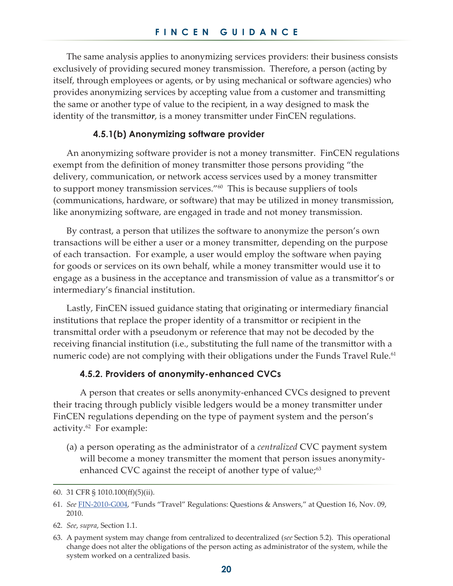The same analysis applies to anonymizing services providers: their business consists exclusively of providing secured money transmission. Therefore, a person (acting by itself, through employees or agents, or by using mechanical or software agencies) who provides anonymizing services by accepting value from a customer and transmitting the same or another type of value to the recipient, in a way designed to mask the identity of the transmitt*or*, is a money transmitter under FinCEN regulations.

#### **4.5.1(b) Anonymizing software provider**

An anonymizing software provider is not a money transmitter. FinCEN regulations exempt from the definition of money transmitter those persons providing "the delivery, communication, or network access services used by a money transmitter to support money transmission services."<sup>60</sup> This is because suppliers of tools (communications, hardware, or software) that may be utilized in money transmission, like anonymizing software, are engaged in trade and not money transmission.

By contrast, a person that utilizes the software to anonymize the person's own transactions will be either a user or a money transmitter, depending on the purpose of each transaction. For example, a user would employ the software when paying for goods or services on its own behalf, while a money transmitter would use it to engage as a business in the acceptance and transmission of value as a transmittor's or intermediary's financial institution.

Lastly, FinCEN issued guidance stating that originating or intermediary financial institutions that replace the proper identity of a transmittor or recipient in the transmittal order with a pseudonym or reference that may not be decoded by the receiving financial institution (i.e., substituting the full name of the transmittor with a numeric code) are not complying with their obligations under the Funds Travel Rule.<sup>61</sup>

#### **4.5.2. Providers of anonymity-enhanced CVCs**

 A person that creates or sells anonymity-enhanced CVCs designed to prevent their tracing through publicly visible ledgers would be a money transmitter under FinCEN regulations depending on the type of payment system and the person's activity.<sup>62</sup> For example:

(a) a person operating as the administrator of a *centralized* CVC payment system will become a money transmitter the moment that person issues anonymityenhanced CVC against the receipt of another type of value; $63$ 

<sup>60. 31</sup> CFR § 1010.100(ff)(5)(ii).

<sup>61.</sup> *See* [FIN-2010-G004](https://www.fincen.gov/sites/default/files/shared/fin-2010-g004.pdf), "Funds "Travel" Regulations: Questions & Answers," at Question 16, Nov. 09, 2010.

<sup>62.</sup> *See*, *supra*, Section 1.1.

<sup>63.</sup> A payment system may change from centralized to decentralized (*see* Section 5.2). This operational change does not alter the obligations of the person acting as administrator of the system, while the system worked on a centralized basis.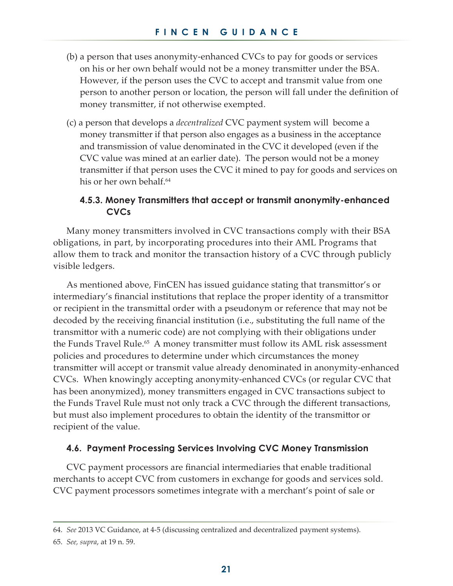- (b) a person that uses anonymity-enhanced CVCs to pay for goods or services on his or her own behalf would not be a money transmitter under the BSA. However, if the person uses the CVC to accept and transmit value from one person to another person or location, the person will fall under the definition of money transmitter, if not otherwise exempted.
- (c) a person that develops a *decentralized* CVC payment system will become a money transmitter if that person also engages as a business in the acceptance and transmission of value denominated in the CVC it developed (even if the CVC value was mined at an earlier date). The person would not be a money transmitter if that person uses the CVC it mined to pay for goods and services on his or her own behalf.<sup>64</sup>

## **4.5.3. Money Transmitters that accept or transmit anonymity-enhanced CVCs**

Many money transmitters involved in CVC transactions comply with their BSA obligations, in part, by incorporating procedures into their AML Programs that allow them to track and monitor the transaction history of a CVC through publicly visible ledgers.

As mentioned above, FinCEN has issued guidance stating that transmittor's or intermediary's financial institutions that replace the proper identity of a transmittor or recipient in the transmittal order with a pseudonym or reference that may not be decoded by the receiving financial institution (i.e., substituting the full name of the transmittor with a numeric code) are not complying with their obligations under the Funds Travel Rule.<sup>65</sup> A money transmitter must follow its AML risk assessment policies and procedures to determine under which circumstances the money transmitter will accept or transmit value already denominated in anonymity-enhanced CVCs. When knowingly accepting anonymity-enhanced CVCs (or regular CVC that has been anonymized), money transmitters engaged in CVC transactions subject to the Funds Travel Rule must not only track a CVC through the different transactions, but must also implement procedures to obtain the identity of the transmittor or recipient of the value.

#### **4.6. Payment Processing Services Involving CVC Money Transmission**

CVC payment processors are financial intermediaries that enable traditional merchants to accept CVC from customers in exchange for goods and services sold. CVC payment processors sometimes integrate with a merchant's point of sale or

<sup>64.</sup> *See* 2013 VC Guidance, at 4-5 (discussing centralized and decentralized payment systems).

<sup>65.</sup> *See, supra*, at 19 n. 59.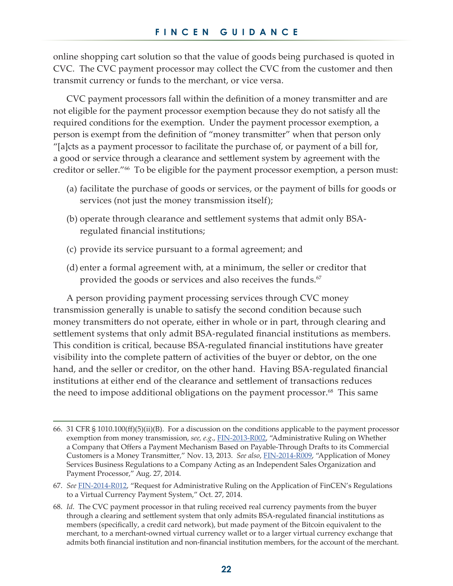online shopping cart solution so that the value of goods being purchased is quoted in CVC. The CVC payment processor may collect the CVC from the customer and then transmit currency or funds to the merchant, or vice versa.

CVC payment processors fall within the definition of a money transmitter and are not eligible for the payment processor exemption because they do not satisfy all the required conditions for the exemption. Under the payment processor exemption, a person is exempt from the definition of "money transmitter" when that person only "[a]cts as a payment processor to facilitate the purchase of, or payment of a bill for, a good or service through a clearance and settlement system by agreement with the creditor or seller."<sup>66</sup> To be eligible for the payment processor exemption, a person must:

- (a) facilitate the purchase of goods or services, or the payment of bills for goods or services (not just the money transmission itself);
- (b) operate through clearance and settlement systems that admit only BSAregulated financial institutions;
- (c) provide its service pursuant to a formal agreement; and
- (d) enter a formal agreement with, at a minimum, the seller or creditor that provided the goods or services and also receives the funds.<sup>67</sup>

A person providing payment processing services through CVC money transmission generally is unable to satisfy the second condition because such money transmitters do not operate, either in whole or in part, through clearing and settlement systems that only admit BSA-regulated financial institutions as members. This condition is critical, because BSA-regulated financial institutions have greater visibility into the complete pattern of activities of the buyer or debtor, on the one hand, and the seller or creditor, on the other hand. Having BSA-regulated financial institutions at either end of the clearance and settlement of transactions reduces the need to impose additional obligations on the payment processor.<sup>68</sup> This same

<sup>66. 31</sup> CFR § 1010.100(ff)(5)(ii)(B). For a discussion on the conditions applicable to the payment processor exemption from money transmission, *see, e.g*., [FIN-2013-R002](https://www.fincen.gov/sites/default/files/administrative_ruling/FIN-2013-R002.pdf), "Administrative Ruling on Whether a Company that Offers a Payment Mechanism Based on Payable-Through Drafts to its Commercial Customers is a Money Transmitter," Nov. 13, 2013. *See also*, [FIN-2014-R009](https://www.fincen.gov/sites/default/files/administrative_ruling/FIN-2014-R009.pdf), "Application of Money Services Business Regulations to a Company Acting as an Independent Sales Organization and Payment Processor," Aug. 27, 2014.

<sup>67.</sup> *See* [FIN-2014-R012](https://www.fincen.gov/sites/default/files/administrative_ruling/FIN-2014-R012.pdf), "Request for Administrative Ruling on the Application of FinCEN's Regulations to a Virtual Currency Payment System," Oct. 27, 2014.

<sup>68.</sup> *Id*. The CVC payment processor in that ruling received real currency payments from the buyer through a clearing and settlement system that only admits BSA-regulated financial institutions as members (specifically, a credit card network), but made payment of the Bitcoin equivalent to the merchant, to a merchant-owned virtual currency wallet or to a larger virtual currency exchange that admits both financial institution and non-financial institution members, for the account of the merchant.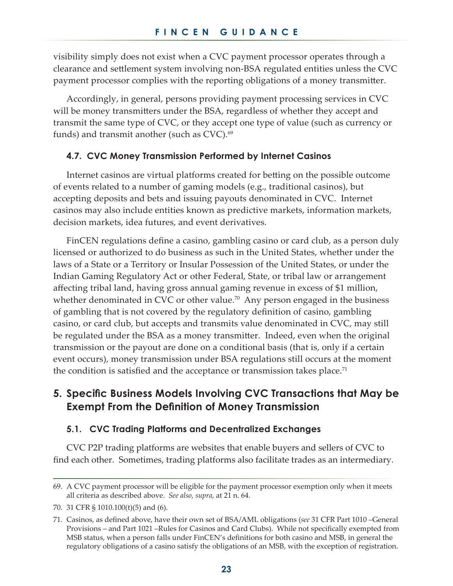visibility simply does not exist when a CVC payment processor operates through a clearance and settlement system involving non-BSA regulated entities unless the CVC payment processor complies with the reporting obligations of a money transmitter.

Accordingly, in general, persons providing payment processing services in CVC will be money transmitters under the BSA, regardless of whether they accept and transmit the same type of CVC, or they accept one type of value (such as currency or funds) and transmit another (such as  $CVC$ ). $69$ 

#### **4.7. CVC Money Transmission Performed by Internet Casinos**

Internet casinos are virtual platforms created for betting on the possible outcome of events related to a number of gaming models (e.g., traditional casinos), but accepting deposits and bets and issuing payouts denominated in CVC. Internet casinos may also include entities known as predictive markets, information markets, decision markets, idea futures, and event derivatives.

FinCEN regulations define a casino, gambling casino or card club, as a person duly licensed or authorized to do business as such in the United States, whether under the laws of a State or a Territory or Insular Possession of the United States, or under the Indian Gaming Regulatory Act or other Federal, State, or tribal law or arrangement affecting tribal land, having gross annual gaming revenue in excess of \$1 million, whether denominated in CVC or other value.<sup>70</sup> Any person engaged in the business of gambling that is not covered by the regulatory definition of casino, gambling casino, or card club, but accepts and transmits value denominated in CVC, may still be regulated under the BSA as a money transmitter. Indeed, even when the original transmission or the payout are done on a conditional basis (that is, only if a certain event occurs), money transmission under BSA regulations still occurs at the moment the condition is satisfied and the acceptance or transmission takes place.<sup>71</sup>

# **5. Specific Business Models Involving CVC Transactions that May be Exempt From the Definition of Money Transmission**

#### **5.1. CVC Trading Platforms and Decentralized Exchanges**

CVC P2P trading platforms are websites that enable buyers and sellers of CVC to find each other. Sometimes, trading platforms also facilitate trades as an intermediary.

<sup>69.</sup> A CVC payment processor will be eligible for the payment processor exemption only when it meets all criteria as described above. *See also, supra*, at 21 n. 64.

<sup>70. 31</sup> CFR § 1010.100(t)(5) and (6).

<sup>71.</sup> Casinos, as defined above, have their own set of BSA/AML obligations (*see* 31 CFR Part 1010 –General Provisions – and Part 1021 –Rules for Casinos and Card Clubs). While not specifically exempted from MSB status, when a person falls under FinCEN's definitions for both casino and MSB, in general the regulatory obligations of a casino satisfy the obligations of an MSB, with the exception of registration.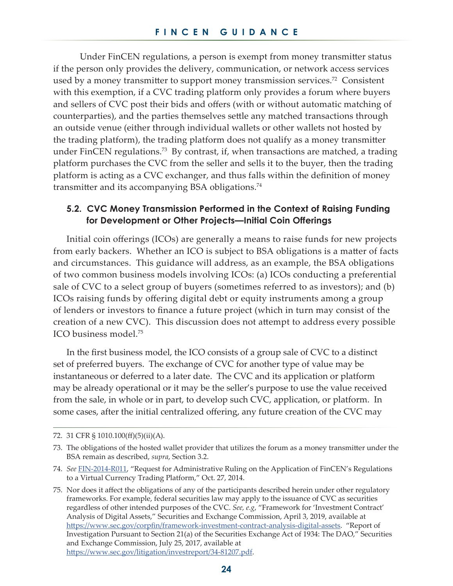Under FinCEN regulations, a person is exempt from money transmitter status if the person only provides the delivery, communication, or network access services used by a money transmitter to support money transmission services.<sup>72</sup> Consistent with this exemption, if a CVC trading platform only provides a forum where buyers and sellers of CVC post their bids and offers (with or without automatic matching of counterparties), and the parties themselves settle any matched transactions through an outside venue (either through individual wallets or other wallets not hosted by the trading platform), the trading platform does not qualify as a money transmitter under FinCEN regulations.<sup>73</sup> By contrast, if, when transactions are matched, a trading platform purchases the CVC from the seller and sells it to the buyer, then the trading platform is acting as a CVC exchanger, and thus falls within the definition of money transmitter and its accompanying BSA obligations.<sup>74</sup>

#### **5.2. CVC Money Transmission Performed in the Context of Raising Funding for Development or Other Projects—Initial Coin Offerings**

Initial coin offerings (ICOs) are generally a means to raise funds for new projects from early backers. Whether an ICO is subject to BSA obligations is a matter of facts and circumstances. This guidance will address, as an example, the BSA obligations of two common business models involving ICOs: (a) ICOs conducting a preferential sale of CVC to a select group of buyers (sometimes referred to as investors); and (b) ICOs raising funds by offering digital debt or equity instruments among a group of lenders or investors to finance a future project (which in turn may consist of the creation of a new CVC). This discussion does not attempt to address every possible ICO business model.<sup>75</sup>

In the first business model, the ICO consists of a group sale of CVC to a distinct set of preferred buyers. The exchange of CVC for another type of value may be instantaneous or deferred to a later date. The CVC and its application or platform may be already operational or it may be the seller's purpose to use the value received from the sale, in whole or in part, to develop such CVC, application, or platform. In some cases, after the initial centralized offering, any future creation of the CVC may

<sup>72. 31</sup> CFR § 1010.100(ff)(5)(ii)(A).

<sup>73.</sup> The obligations of the hosted wallet provider that utilizes the forum as a money transmitter under the BSA remain as described, *supra*, Section 3.2.

<sup>74.</sup> *See* [FIN-2014-R011](https://www.fincen.gov/sites/default/files/administrative_ruling/FIN-2014-R011.pdf), "Request for Administrative Ruling on the Application of FinCEN's Regulations to a Virtual Currency Trading Platform," Oct. 27, 2014.

<sup>75.</sup> Nor does it affect the obligations of any of the participants described herein under other regulatory frameworks. For example, federal securities law may apply to the issuance of CVC as securities regardless of other intended purposes of the CVC. *See, e.g*, "Framework for 'Investment Contract' Analysis of Digital Assets," Securities and Exchange Commission, April 3, 2019, available at <https://www.sec.gov/corpfin/framework-investment-contract-analysis-digital-assets>. "Report of Investigation Pursuant to Section 21(a) of the Securities Exchange Act of 1934: The DAO," Securities and Exchange Commission, July 25, 2017, available at <https://www.sec.gov/litigation/investreport/34-81207.pdf>.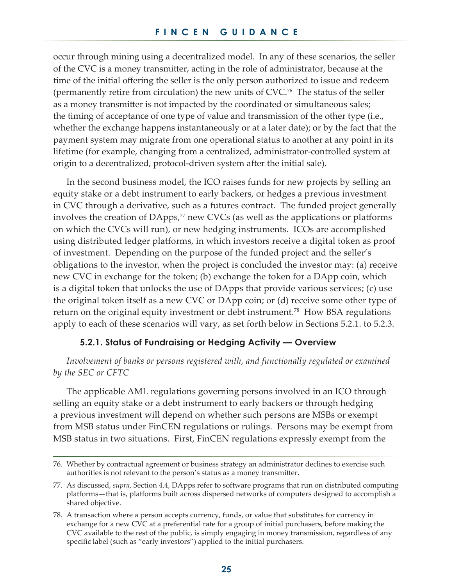occur through mining using a decentralized model. In any of these scenarios, the seller of the CVC is a money transmitter, acting in the role of administrator, because at the time of the initial offering the seller is the only person authorized to issue and redeem (permanently retire from circulation) the new units of CVC.<sup>76</sup> The status of the seller as a money transmitter is not impacted by the coordinated or simultaneous sales; the timing of acceptance of one type of value and transmission of the other type (i.e., whether the exchange happens instantaneously or at a later date); or by the fact that the payment system may migrate from one operational status to another at any point in its lifetime (for example, changing from a centralized, administrator-controlled system at origin to a decentralized, protocol-driven system after the initial sale).

In the second business model, the ICO raises funds for new projects by selling an equity stake or a debt instrument to early backers, or hedges a previous investment in CVC through a derivative, such as a futures contract. The funded project generally involves the creation of  $\text{DApps}$ , $\pi$  new CVCs (as well as the applications or platforms on which the CVCs will run), or new hedging instruments. ICOs are accomplished using distributed ledger platforms, in which investors receive a digital token as proof of investment. Depending on the purpose of the funded project and the seller's obligations to the investor, when the project is concluded the investor may: (a) receive new CVC in exchange for the token; (b) exchange the token for a DApp coin, which is a digital token that unlocks the use of DApps that provide various services; (c) use the original token itself as a new CVC or DApp coin; or (d) receive some other type of return on the original equity investment or debt instrument.<sup>78</sup> How BSA regulations apply to each of these scenarios will vary, as set forth below in Sections 5.2.1. to 5.2.3.

#### **5.2.1. Status of Fundraising or Hedging Activity — Overview**

*Involvement of banks or persons registered with, and functionally regulated or examined by the SEC or CFTC*

The applicable AML regulations governing persons involved in an ICO through selling an equity stake or a debt instrument to early backers or through hedging a previous investment will depend on whether such persons are MSBs or exempt from MSB status under FinCEN regulations or rulings. Persons may be exempt from MSB status in two situations. First, FinCEN regulations expressly exempt from the

<sup>76.</sup> Whether by contractual agreement or business strategy an administrator declines to exercise such authorities is not relevant to the person's status as a money transmitter.

<sup>77.</sup> As discussed, *supra*, Section 4.4, DApps refer to software programs that run on distributed computing platforms—that is, platforms built across dispersed networks of computers designed to accomplish a shared objective.

<sup>78.</sup> A transaction where a person accepts currency, funds, or value that substitutes for currency in exchange for a new CVC at a preferential rate for a group of initial purchasers, before making the CVC available to the rest of the public, is simply engaging in money transmission, regardless of any specific label (such as "early investors") applied to the initial purchasers.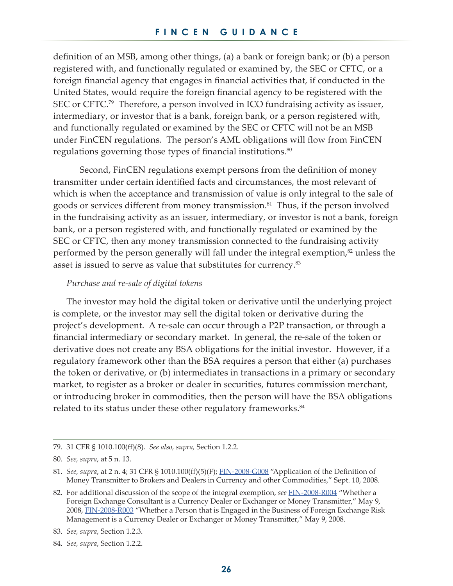definition of an MSB, among other things, (a) a bank or foreign bank; or (b) a person registered with, and functionally regulated or examined by, the SEC or CFTC, or a foreign financial agency that engages in financial activities that, if conducted in the United States, would require the foreign financial agency to be registered with the SEC or CFTC.<sup>79</sup> Therefore, a person involved in ICO fundraising activity as issuer, intermediary, or investor that is a bank, foreign bank, or a person registered with, and functionally regulated or examined by the SEC or CFTC will not be an MSB under FinCEN regulations. The person's AML obligations will flow from FinCEN regulations governing those types of financial institutions.<sup>80</sup>

 Second, FinCEN regulations exempt persons from the definition of money transmitter under certain identified facts and circumstances, the most relevant of which is when the acceptance and transmission of value is only integral to the sale of goods or services different from money transmission.<sup>81</sup> Thus, if the person involved in the fundraising activity as an issuer, intermediary, or investor is not a bank, foreign bank, or a person registered with, and functionally regulated or examined by the SEC or CFTC, then any money transmission connected to the fundraising activity performed by the person generally will fall under the integral exemption, $82$  unless the asset is issued to serve as value that substitutes for currency.83

#### *Purchase and re-sale of digital tokens*

The investor may hold the digital token or derivative until the underlying project is complete, or the investor may sell the digital token or derivative during the project's development. A re-sale can occur through a P2P transaction, or through a financial intermediary or secondary market. In general, the re-sale of the token or derivative does not create any BSA obligations for the initial investor. However, if a regulatory framework other than the BSA requires a person that either (a) purchases the token or derivative, or (b) intermediates in transactions in a primary or secondary market, to register as a broker or dealer in securities, futures commission merchant, or introducing broker in commodities, then the person will have the BSA obligations related to its status under these other regulatory frameworks.<sup>84</sup>

<sup>79. 31</sup> CFR § 1010.100(ff)(8). *See also, supra,* Section 1.2.2.

<sup>80.</sup> *See, supra*, at 5 n. 13.

<sup>81.</sup> *See, supra*, at 2 n. 4; 31 CFR § 1010.100(ff)(5)(F); [FIN-2008-G008](https://www.fincen.gov/sites/default/files/guidance/fin-2008-g008.pdf) "Application of the Definition of Money Transmitter to Brokers and Dealers in Currency and other Commodities," Sept. 10, 2008.

<sup>82.</sup> For additional discussion of the scope of the integral exemption, *see* [FIN-2008-R004](https://www.fincen.gov/sites/default/files/guidance/fin-2008-r004.pdf) "Whether a Foreign Exchange Consultant is a Currency Dealer or Exchanger or Money Transmitter," May 9, 2008, [FIN-2008-R003](https://www.fincen.gov/sites/default/files/guidance/fin-2008-r003.pdf) "Whether a Person that is Engaged in the Business of Foreign Exchange Risk Management is a Currency Dealer or Exchanger or Money Transmitter," May 9, 2008.

<sup>83.</sup> *See, supra*, Section 1.2.3.

<sup>84.</sup> *See, supra*, Section 1.2.2.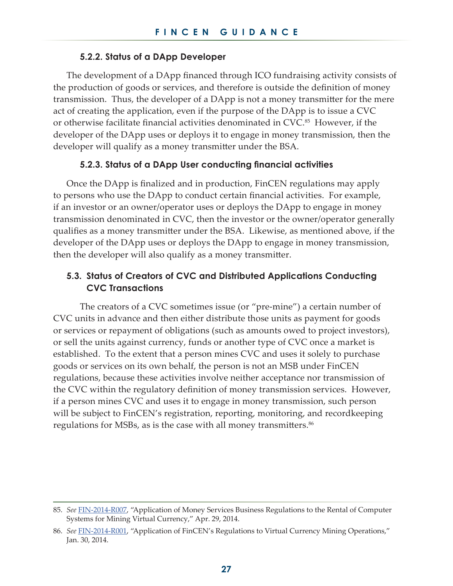#### **5.2.2. Status of a DApp Developer**

The development of a DApp financed through ICO fundraising activity consists of the production of goods or services, and therefore is outside the definition of money transmission. Thus, the developer of a DApp is not a money transmitter for the mere act of creating the application, even if the purpose of the DApp is to issue a CVC or otherwise facilitate financial activities denominated in CVC.<sup>85</sup> However, if the developer of the DApp uses or deploys it to engage in money transmission, then the developer will qualify as a money transmitter under the BSA.

#### **5.2.3. Status of a DApp User conducting financial activities**

Once the DApp is finalized and in production, FinCEN regulations may apply to persons who use the DApp to conduct certain financial activities. For example, if an investor or an owner/operator uses or deploys the DApp to engage in money transmission denominated in CVC, then the investor or the owner/operator generally qualifies as a money transmitter under the BSA. Likewise, as mentioned above, if the developer of the DApp uses or deploys the DApp to engage in money transmission, then the developer will also qualify as a money transmitter.

## **5.3. Status of Creators of CVC and Distributed Applications Conducting CVC Transactions**

 The creators of a CVC sometimes issue (or "pre-mine") a certain number of CVC units in advance and then either distribute those units as payment for goods or services or repayment of obligations (such as amounts owed to project investors), or sell the units against currency, funds or another type of CVC once a market is established. To the extent that a person mines CVC and uses it solely to purchase goods or services on its own behalf, the person is not an MSB under FinCEN regulations, because these activities involve neither acceptance nor transmission of the CVC within the regulatory definition of money transmission services. However, if a person mines CVC and uses it to engage in money transmission, such person will be subject to FinCEN's registration, reporting, monitoring, and recordkeeping regulations for MSBs, as is the case with all money transmitters.

<sup>85.</sup> *See* [FIN-2014-R007](https://www.fincen.gov/sites/default/files/administrative_ruling/FIN-2014-R007.pdf), "Application of Money Services Business Regulations to the Rental of Computer Systems for Mining Virtual Currency," Apr. 29, 2014.

<sup>86.</sup> *See* [FIN-2014-R001](https://www.fincen.gov/sites/default/files/administrative_ruling/FIN-2014-R001.pdf), "Application of FinCEN's Regulations to Virtual Currency Mining Operations," Jan. 30, 2014.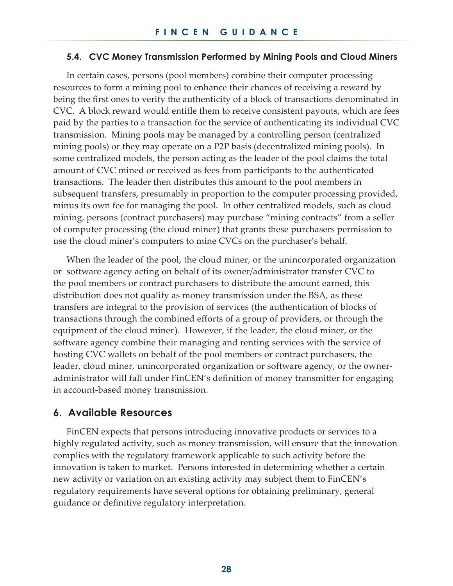#### **5.4. CVC Money Transmission Performed by Mining Pools and Cloud Miners**

In certain cases, persons (pool members) combine their computer processing resources to form a mining pool to enhance their chances of receiving a reward by being the first ones to verify the authenticity of a block of transactions denominated in CVC. A block reward would entitle them to receive consistent payouts, which are fees paid by the parties to a transaction for the service of authenticating its individual CVC transmission. Mining pools may be managed by a controlling person (centralized mining pools) or they may operate on a P2P basis (decentralized mining pools). In some centralized models, the person acting as the leader of the pool claims the total amount of CVC mined or received as fees from participants to the authenticated transactions. The leader then distributes this amount to the pool members in subsequent transfers, presumably in proportion to the computer processing provided, minus its own fee for managing the pool. In other centralized models, such as cloud mining, persons (contract purchasers) may purchase "mining contracts" from a seller of computer processing (the cloud miner) that grants these purchasers permission to use the cloud miner's computers to mine CVCs on the purchaser's behalf.

When the leader of the pool, the cloud miner, or the unincorporated organization or software agency acting on behalf of its owner/administrator transfer CVC to the pool members or contract purchasers to distribute the amount earned, this distribution does not qualify as money transmission under the BSA, as these transfers are integral to the provision of services (the authentication of blocks of transactions through the combined efforts of a group of providers, or through the equipment of the cloud miner). However, if the leader, the cloud miner, or the software agency combine their managing and renting services with the service of hosting CVC wallets on behalf of the pool members or contract purchasers, the leader, cloud miner, unincorporated organization or software agency, or the owneradministrator will fall under FinCEN's definition of money transmitter for engaging in account-based money transmission.

## **6. Available Resources**

FinCEN expects that persons introducing innovative products or services to a highly regulated activity, such as money transmission, will ensure that the innovation complies with the regulatory framework applicable to such activity before the innovation is taken to market. Persons interested in determining whether a certain new activity or variation on an existing activity may subject them to FinCEN's regulatory requirements have several options for obtaining preliminary, general guidance or definitive regulatory interpretation.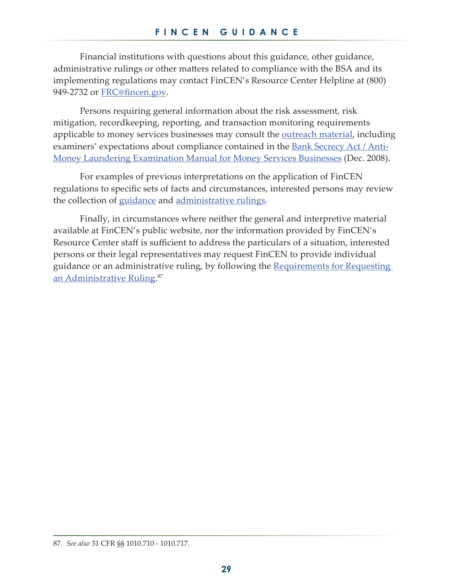Financial institutions with questions about this guidance, other guidance, administrative rulings or other matters related to compliance with the BSA and its implementing regulations may contact FinCEN's Resource Center Helpline at (800) 949-2732 or **FRC**@fincen.gov.

 Persons requiring general information about the risk assessment, risk mitigation, recordkeeping, reporting, and transaction monitoring requirements applicable to money services businesses may consult the <u>outreach material</u>, including examiners' expectations about compliance contained in the [Bank Secrecy Act / Anti-](https://www.fincen.gov/msb-examination-materials)[Money Laundering Examination Manual for Money Services Businesses](https://www.fincen.gov/msb-examination-materials) (Dec. 2008).

 For examples of previous interpretations on the application of FinCEN regulations to specific sets of facts and circumstances, interested persons may review the collection of [guidance](https://www.fincen.gov/resources/statutes-regulations/guidance) and [administrative rulings](https://www.fincen.gov/resources/statutes-regulations/administrative-rulings).

 Finally, in circumstances where neither the general and interpretive material available at FinCEN's public website, nor the information provided by FinCEN's Resource Center staff is sufficient to address the particulars of a situation, interested persons or their legal representatives may request FinCEN to provide individual guidance or an administrative ruling, by following the Requirements for Requesting [an Administrative Ruling](https://www.fincen.gov/resources/statutes-regulations/administrative-rulings/requirements-requesting-administrative-ruling).<sup>87</sup>

<sup>87.</sup> *See also* 31 CFR §§ 1010.710 - 1010.717.